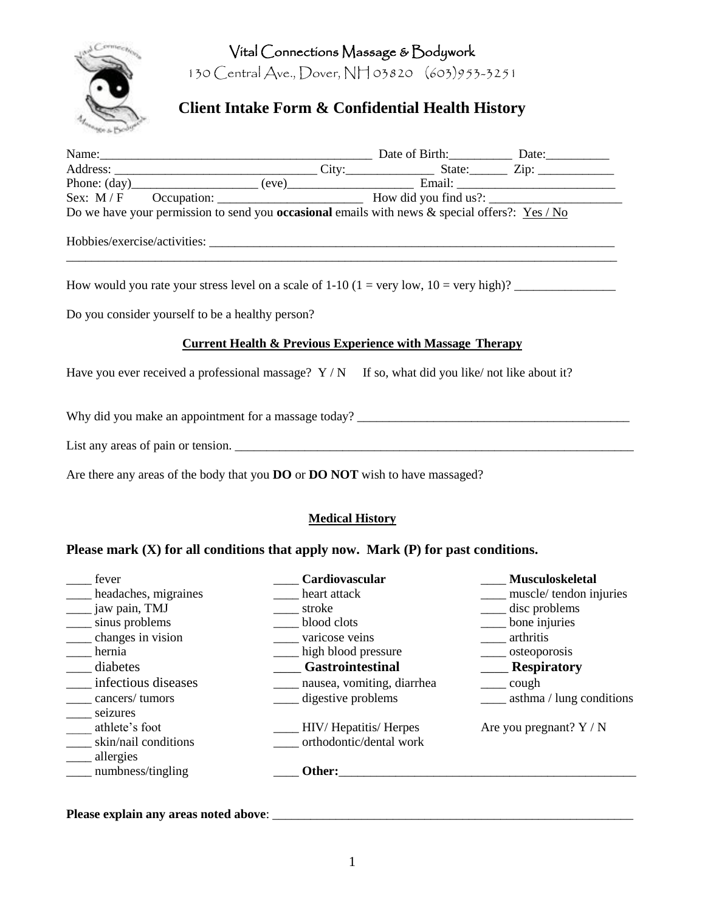Vital Connections Massage & Bodywork



130 Central Ave., Dover, NH 03820 (603)953-3251

# **Client Intake Form & Confidential Health History**

|                                                                      | Name: Date of Birth: Date: Date: Date: Naddress: City: Date: City: Date: Date: Date: Date: Date: Phone: (day)                                                                                                                                                                                    |  |  |  |  |
|----------------------------------------------------------------------|--------------------------------------------------------------------------------------------------------------------------------------------------------------------------------------------------------------------------------------------------------------------------------------------------|--|--|--|--|
|                                                                      |                                                                                                                                                                                                                                                                                                  |  |  |  |  |
|                                                                      |                                                                                                                                                                                                                                                                                                  |  |  |  |  |
|                                                                      | Do we have your permission to send you <b>occasional</b> emails with news & special offers?: $Yes / No$                                                                                                                                                                                          |  |  |  |  |
|                                                                      |                                                                                                                                                                                                                                                                                                  |  |  |  |  |
|                                                                      | How would you rate your stress level on a scale of $1-10$ ( $1 = \text{very low}, 10 = \text{very high}$ )?                                                                                                                                                                                      |  |  |  |  |
|                                                                      | Do you consider yourself to be a healthy person?                                                                                                                                                                                                                                                 |  |  |  |  |
| <b>Current Health &amp; Previous Experience with Massage Therapy</b> |                                                                                                                                                                                                                                                                                                  |  |  |  |  |
|                                                                      | Have you ever received a professional massage? $Y/N$ If so, what did you like/not like about it?                                                                                                                                                                                                 |  |  |  |  |
|                                                                      | Why did you make an appointment for a massage today?                                                                                                                                                                                                                                             |  |  |  |  |
|                                                                      |                                                                                                                                                                                                                                                                                                  |  |  |  |  |
|                                                                      | $\mathbf{A}$ and $\mathbf{A}$ and $\mathbf{A}$ and $\mathbf{A}$ and $\mathbf{A}$ and $\mathbf{A}$ and $\mathbf{A}$ and $\mathbf{A}$ and $\mathbf{A}$ and $\mathbf{A}$ and $\mathbf{A}$ and $\mathbf{A}$ and $\mathbf{A}$ and $\mathbf{A}$ and $\mathbf{A}$ and $\mathbf{A}$ and $\mathbf{A}$ and |  |  |  |  |

Are there any areas of the body that you **DO** or **DO NOT** wish to have massaged?

#### **Medical History**

### **Please mark (X) for all conditions that apply now. Mark (P) for past conditions.**

| fever                                                           | Cardiovascular                                  | <b>Musculoskeletal</b>    |
|-----------------------------------------------------------------|-------------------------------------------------|---------------------------|
| headaches, migraines                                            | heart attack                                    | muscle/tendon injuries    |
| jaw pain, TMJ                                                   | stroke                                          | disc problems             |
| sinus problems                                                  | blood clots                                     | bone injuries             |
| changes in vision                                               | varicose veins                                  | arthritis                 |
| hernia                                                          | high blood pressure                             | osteoporosis              |
| diabetes                                                        | <b>Gastrointestinal</b>                         | <b>Respiratory</b>        |
| infectious diseases                                             | nausea, vomiting, diarrhea                      | cough                     |
| cancers/tumors                                                  | digestive problems                              | asthma / lung conditions  |
| seizures<br>athlete's foot<br>skin/nail conditions<br>allergies | HIV/Hepatitis/Herpes<br>orthodontic/dental work | Are you pregnant? $Y / N$ |
| numbness/tingling                                               | Other:                                          |                           |
|                                                                 |                                                 |                           |

**Please explain any areas noted above**: \_\_\_\_\_\_\_\_\_\_\_\_\_\_\_\_\_\_\_\_\_\_\_\_\_\_\_\_\_\_\_\_\_\_\_\_\_\_\_\_\_\_\_\_\_\_\_\_\_\_\_\_\_\_\_\_\_